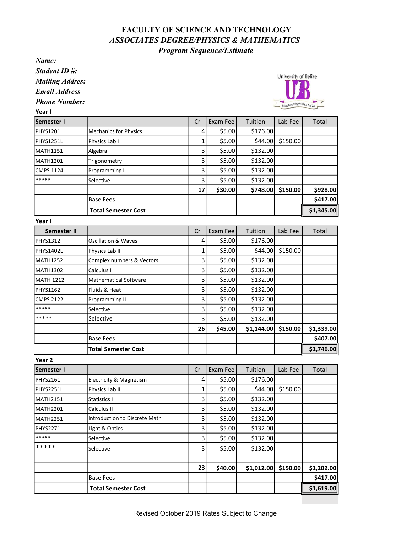## FACULTY OF SCIENCE AND TECHNOLOGY ASSOCIATES DEGREE/PHYSICS & MATHEMATICS Program Sequence/Estimate

Name:

Student ID #:

Mailing Addres:

Email Address

Phone Number:

University of Belize cation Empowers a y

| Semester I       |                              | Cr | Exam Fee | Tuition  | Lab Fee  | Total      |
|------------------|------------------------------|----|----------|----------|----------|------------|
| <b>PHYS1201</b>  | <b>Mechanics for Physics</b> | 4  | \$5.00   | \$176.00 |          |            |
| PHYS1251L        | Physics Lab I                |    | \$5.00   | \$44.00  | \$150.00 |            |
| <b>MATH1151</b>  | Algebra                      |    | \$5.00   | \$132.00 |          |            |
| <b>MATH1201</b>  | Trigonometry                 | 3  | \$5.00   | \$132.00 |          |            |
| <b>CMPS 1124</b> | Programming I                | 3  | \$5.00   | \$132.00 |          |            |
| *****            | Selective                    | З. | \$5.00   | \$132.00 |          |            |
|                  |                              | 17 | \$30.00  | \$748.00 | \$150.00 | \$928.00   |
|                  | <b>Base Fees</b>             |    |          |          |          | \$417.00   |
|                  | <b>Total Semester Cost</b>   |    |          |          |          | \$1,345.00 |

Year I

| Semester II      |                                | Cr | Exam Fee | Tuition    | Lab Fee  | Total      |
|------------------|--------------------------------|----|----------|------------|----------|------------|
| <b>PHYS1312</b>  | <b>Oscillation &amp; Waves</b> | 4  | \$5.00   | \$176.00   |          |            |
| PHYS1402L        | Physics Lab II                 |    | \$5.00   | \$44.00    | \$150.00 |            |
| MATH1252         | Complex numbers & Vectors      | 3  | \$5.00   | \$132.00   |          |            |
| MATH1302         | Calculus I                     | 3  | \$5.00   | \$132.00   |          |            |
| <b>MATH 1212</b> | <b>Mathematical Software</b>   | 3  | \$5.00   | \$132.00   |          |            |
| <b>PHYS1162</b>  | Fluids & Heat                  | 3  | \$5.00   | \$132.00   |          |            |
| <b>CMPS 2122</b> | Programming II                 | 3  | \$5.00   | \$132.00   |          |            |
| *****            | Selective                      | 3  | \$5.00   | \$132.00   |          |            |
| *****            | Selective                      | 3  | \$5.00   | \$132.00   |          |            |
|                  |                                | 26 | \$45.00  | \$1,144.00 | \$150.00 | \$1,339.00 |
|                  | <b>Base Fees</b>               |    |          |            |          | \$407.00   |
|                  | <b>Total Semester Cost</b>     |    |          |            |          | \$1,746.00 |

Year 2 Semester I Cr Exam Fee Tuition Lab Fee Total PHYS2161 Electricity & Magnetism 4 \$5.00 \$176.00 PHYS2251L Physics Lab III 1 \$5.00 \$44.00 \$150.00 MATH2151 Statistics I 3 \$5.00 \$132.00 MATH2201 Calculus II 3 \$5.00 \$132.00 MATH2251 Introduction to Discrete Math  $\begin{vmatrix} 3 & 55.00 & 5132.00 \end{vmatrix}$ PHYS2271 | Light & Optics | 3 \ \$5.00 \$132.00 \*\*\*\*\* Selective Selective 3 \$5.00 \$132.00 \*\*\*\*\* Selective 3 \$5.00 \$132.00 23 \$40.00 \$1,012.00 \$150.00 \$1,202.00 Base Fees \$417.00 Total Semester Cost **1** | | | | | | | | | | | \$1,619.00